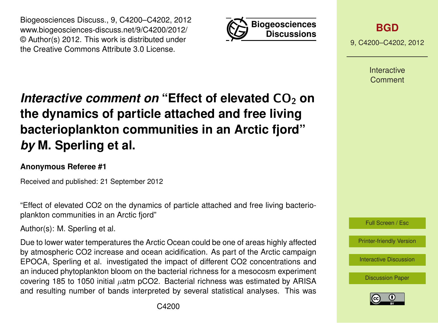



**[BGD](http://www.biogeosciences-discuss.net)**

9, C4200–C4202, 2012

Interactive Comment

## *Interactive comment on* "Effect of elevated CO<sub>2</sub> on **the dynamics of particle attached and free living bacterioplankton communities in an Arctic fjord"** *by* **M. Sperling et al.**

## **Anonymous Referee #1**

Received and published: 21 September 2012

"Effect of elevated CO2 on the dynamics of particle attached and free living bacterioplankton communities in an Arctic fjord"

Author(s): M. Sperling et al.

Due to lower water temperatures the Arctic Ocean could be one of areas highly affected by atmospheric CO2 increase and ocean acidification. As part of the Arctic campaign EPOCA, Sperling et al. investigated the impact of different CO2 concentrations and an induced phytoplankton bloom on the bacterial richness for a mesocosm experiment covering 185 to 1050 initial  $\mu$ atm pCO2. Bacterial richness was estimated by ARISA and resulting number of bands interpreted by several statistical analyses. This was

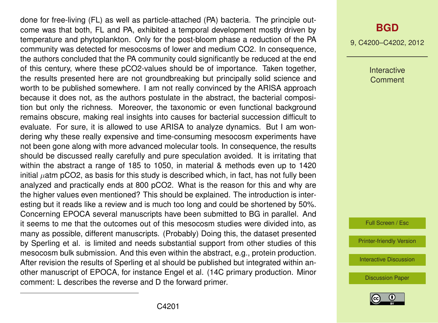done for free-living (FL) as well as particle-attached (PA) bacteria. The principle outcome was that both, FL and PA, exhibited a temporal development mostly driven by temperature and phytoplankton. Only for the post-bloom phase a reduction of the PA community was detected for mesocosms of lower and medium CO2. In consequence, the authors concluded that the PA community could significantly be reduced at the end of this century, where these pCO2-values should be of importance. Taken together, the results presented here are not groundbreaking but principally solid science and worth to be published somewhere. I am not really convinced by the ARISA approach because it does not, as the authors postulate in the abstract, the bacterial composition but only the richness. Moreover, the taxonomic or even functional background remains obscure, making real insights into causes for bacterial succession difficult to evaluate. For sure, it is allowed to use ARISA to analyze dynamics. But I am wondering why these really expensive and time-consuming mesocosm experiments have not been gone along with more advanced molecular tools. In consequence, the results should be discussed really carefully and pure speculation avoided. It is irritating that within the abstract a range of 185 to 1050, in material & methods even up to 1420  $\mu$ initial  $\mu$ atm pCO2, as basis for this study is described which, in fact, has not fully been analyzed and practically ends at 800 pCO2. What is the reason for this and why are the higher values even mentioned? This should be explained. The introduction is interesting but it reads like a review and is much too long and could be shortened by 50%. Concerning EPOCA several manuscripts have been submitted to BG in parallel. And it seems to me that the outcomes out of this mesocosm studies were divided into, as many as possible, different manuscripts. (Probably) Doing this, the dataset presented by Sperling et al. is limited and needs substantial support from other studies of this mesocosm bulk submission. And this even within the abstract, e.g., protein production. After revision the results of Sperling et al should be published but integrated within another manuscript of EPOCA, for instance Engel et al. (14C primary production. Minor comment: L describes the reverse and D the forward primer.

9, C4200–C4202, 2012

Interactive **Comment** 

Full Screen / Esc

[Printer-friendly Version](http://www.biogeosciences-discuss.net/9/C4200/2012/bgd-9-C4200-2012-print.pdf)

[Interactive Discussion](http://www.biogeosciences-discuss.net/9/10725/2012/bgd-9-10725-2012-discussion.html)

[Discussion Paper](http://www.biogeosciences-discuss.net/9/10725/2012/bgd-9-10725-2012.pdf)